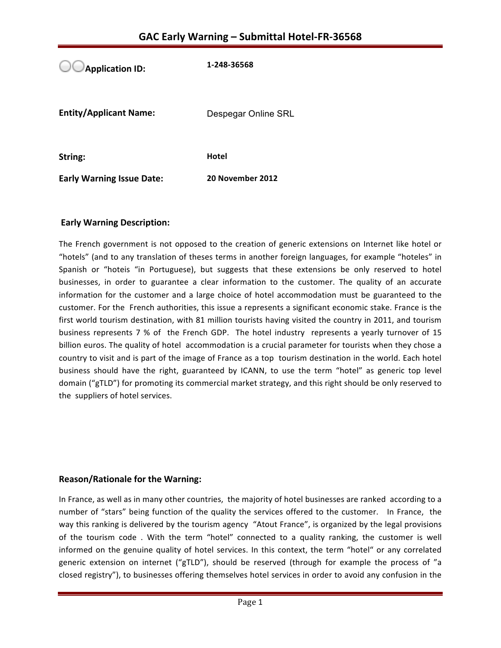**Application ID: 1-248-36568 Entity/Applicant Name:** Despegar Online SRL **String: Hotel Early Warning Issue Date:** 20 November 2012

# **Early Warning Description:**

The French government is not opposed to the creation of generic extensions on Internet like hotel or "hotels" (and to any translation of theses terms in another foreign languages, for example "hoteles" in Spanish or "hoteis "in Portuguese), but suggests that these extensions be only reserved to hotel businesses, in order to guarantee a clear information to the customer. The quality of an accurate information for the customer and a large choice of hotel accommodation must be guaranteed to the customer. For the French authorities, this issue a represents a significant economic stake. France is the first world tourism destination, with 81 million tourists having visited the country in 2011, and tourism business represents 7 % of the French GDP. The hotel industry represents a yearly turnover of 15 billion euros. The quality of hotel accommodation is a crucial parameter for tourists when they chose a country to visit and is part of the image of France as a top tourism destination in the world. Each hotel business should have the right, guaranteed by ICANN, to use the term "hotel" as generic top level domain ("gTLD") for promoting its commercial market strategy, and this right should be only reserved to the suppliers of hotel services.

### **Reason/Rationale for the Warning:**

In France, as well as in many other countries, the majority of hotel businesses are ranked according to a number of "stars" being function of the quality the services offered to the customer. In France, the way this ranking is delivered by the tourism agency "Atout France", is organized by the legal provisions of the tourism code. With the term "hotel" connected to a quality ranking, the customer is well informed on the genuine quality of hotel services. In this context, the term "hotel" or any correlated generic extension on internet ("gTLD"), should be reserved (through for example the process of "a closed registry"), to businesses offering themselves hotel services in order to avoid any confusion in the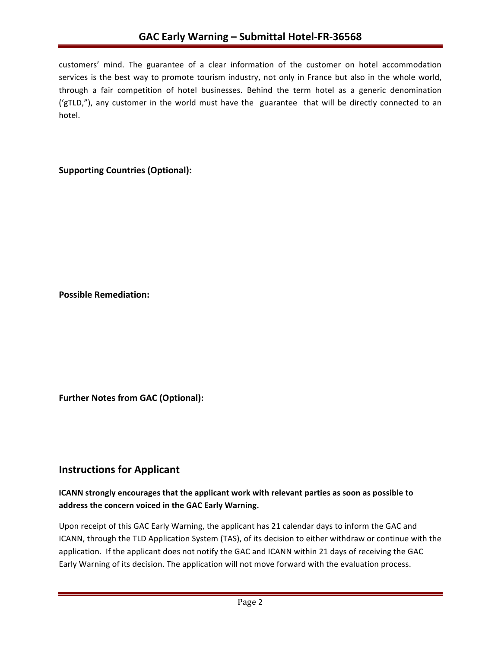customers' mind. The guarantee of a clear information of the customer on hotel accommodation services is the best way to promote tourism industry, not only in France but also in the whole world, through a fair competition of hotel businesses. Behind the term hotel as a generic denomination ('gTLD,"), any customer in the world must have the guarantee that will be directly connected to an hotel. 

# **Supporting Countries (Optional):**

**Possible Remediation:**

**Further Notes from GAC (Optional):** 

# **Instructions for Applicant**

# **ICANN** strongly encourages that the applicant work with relevant parties as soon as possible to address the concern voiced in the GAC Early Warning.

Upon receipt of this GAC Early Warning, the applicant has 21 calendar days to inform the GAC and ICANN, through the TLD Application System (TAS), of its decision to either withdraw or continue with the application. If the applicant does not notify the GAC and ICANN within 21 days of receiving the GAC Early Warning of its decision. The application will not move forward with the evaluation process.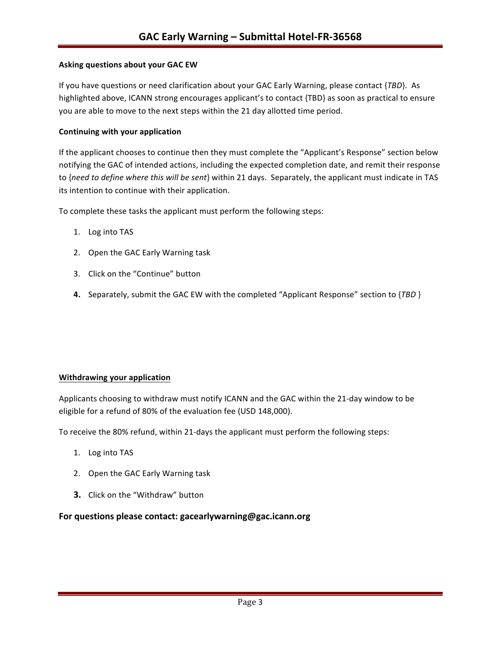#### **Asking questions about your GAC EW**

If you have questions or need clarification about your GAC Early Warning, please contact {*TBD*}. As highlighted above, ICANN strong encourages applicant's to contact {TBD} as soon as practical to ensure you are able to move to the next steps within the 21 day allotted time period.

#### **Continuing with your application**

If the applicant chooses to continue then they must complete the "Applicant's Response" section below notifying the GAC of intended actions, including the expected completion date, and remit their response to {need to define where this will be sent} within 21 days. Separately, the applicant must indicate in TAS its intention to continue with their application.

To complete these tasks the applicant must perform the following steps:

- 1. Log into TAS
- 2. Open the GAC Early Warning task
- 3. Click on the "Continue" button
- **4.** Separately, submit the GAC EW with the completed "Applicant Response" section to {*TBD* }

#### **Withdrawing your application**

Applicants choosing to withdraw must notify ICANN and the GAC within the 21-day window to be eligible for a refund of 80% of the evaluation fee (USD 148,000).

To receive the 80% refund, within 21-days the applicant must perform the following steps:

- 1. Log into TAS
- 2. Open the GAC Early Warning task
- **3.** Click on the "Withdraw" button

#### For questions please contact: gacearlywarning@gac.icann.org